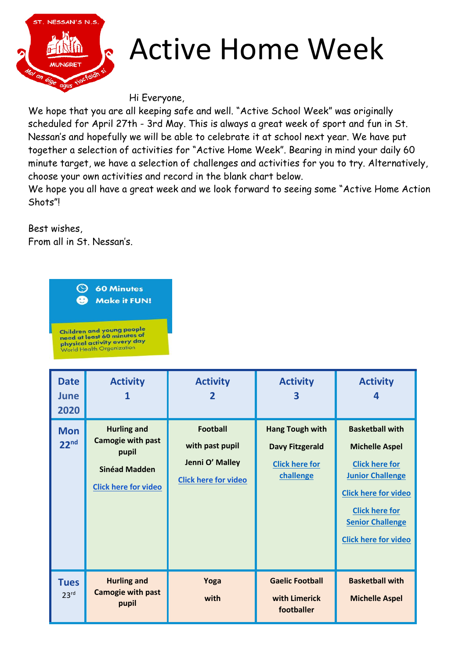

## Active Home Week

Hi Everyone,

We hope that you are all keeping safe and well. "Active School Week" was originally scheduled for April 27th - 3rd May. This is always a great week of sport and fun in St. Nessan's and hopefully we will be able to celebrate it at school next year. We have put together a selection of activities for "Active Home Week". Bearing in mind your daily 60 minute target, we have a selection of challenges and activities for you to try. Alternatively, choose your own activities and record in the blank chart below.

We hope you all have a great week and we look forward to seeing some "Active Home Action Shots"!

Best wishes,

From all in St. Nessan's.



| <b>Date</b><br>June<br>2020     | <b>Activity</b>                                                                                                | <b>Activity</b><br>2                                                                 | <b>Activity</b><br>3                                                                   | <b>Activity</b>                                                                                                                                                                                                       |
|---------------------------------|----------------------------------------------------------------------------------------------------------------|--------------------------------------------------------------------------------------|----------------------------------------------------------------------------------------|-----------------------------------------------------------------------------------------------------------------------------------------------------------------------------------------------------------------------|
| <b>Mon</b><br>22 <sup>nd</sup>  | <b>Hurling and</b><br><b>Camogie with past</b><br>pupil<br><b>Sinéad Madden</b><br><b>Click here for video</b> | <b>Football</b><br>with past pupil<br>Jenni O' Malley<br><b>Click here for video</b> | <b>Hang Tough with</b><br><b>Davy Fitzgerald</b><br><b>Click here for</b><br>challenge | <b>Basketball with</b><br><b>Michelle Aspel</b><br><b>Click here for</b><br><b>Junior Challenge</b><br><b>Click here for video</b><br><b>Click here for</b><br><b>Senior Challenge</b><br><b>Click here for video</b> |
| <b>Tues</b><br>23 <sup>rd</sup> | <b>Hurling and</b><br><b>Camogie with past</b><br>pupil                                                        | Yoga<br>with                                                                         | <b>Gaelic Football</b><br>with Limerick<br>footballer                                  | <b>Basketball with</b><br><b>Michelle Aspel</b>                                                                                                                                                                       |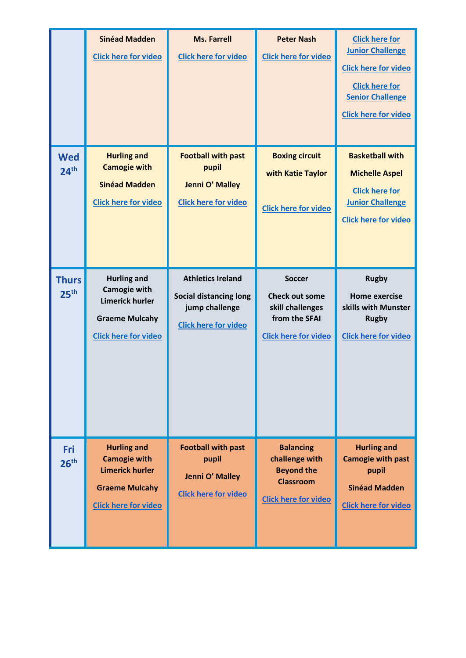|                                  | <b>Sinéad Madden</b><br><b>Click here for video</b>                                                                         | <b>Ms. Farrell</b><br><b>Click here for video</b>                                                          | <b>Peter Nash</b><br><b>Click here for video</b>                                                           | <b>Click here for</b><br><b>Junior Challenge</b><br><b>Click here for video</b><br><b>Click here for</b><br><b>Senior Challenge</b><br><b>Click here for video</b> |
|----------------------------------|-----------------------------------------------------------------------------------------------------------------------------|------------------------------------------------------------------------------------------------------------|------------------------------------------------------------------------------------------------------------|--------------------------------------------------------------------------------------------------------------------------------------------------------------------|
| <b>Wed</b><br>24 <sup>th</sup>   | <b>Hurling and</b><br><b>Camogie with</b><br><b>Sinéad Madden</b><br><b>Click here for video</b>                            | <b>Football with past</b><br>pupil<br>Jenni O' Malley<br><b>Click here for video</b>                       | <b>Boxing circuit</b><br>with Katie Taylor<br><b>Click here for video</b>                                  | <b>Basketball with</b><br><b>Michelle Aspel</b><br><b>Click here for</b><br><b>Junior Challenge</b><br><b>Click here for video</b>                                 |
| <b>Thurs</b><br>25 <sup>th</sup> | <b>Hurling and</b><br><b>Camogie with</b><br><b>Limerick hurler</b><br><b>Graeme Mulcahy</b><br><b>Click here for video</b> | <b>Athletics Ireland</b><br><b>Social distancing long</b><br>jump challenge<br><b>Click here for video</b> | <b>Soccer</b><br><b>Check out some</b><br>skill challenges<br>from the SFAI<br><b>Click here for video</b> | <b>Rugby</b><br><b>Home exercise</b><br>skills with Munster<br><b>Rugby</b><br><b>Click here for video</b>                                                         |
| Fri<br>26 <sup>th</sup>          | <b>Hurling and</b><br><b>Camogie with</b><br><b>Limerick hurler</b><br><b>Graeme Mulcahy</b><br><b>Click here for video</b> | <b>Football with past</b><br>pupil<br>Jenni O' Malley<br><b>Click here for video</b>                       | <b>Balancing</b><br>challenge with<br><b>Beyond the</b><br><b>Classroom</b><br><b>Click here for video</b> | <b>Hurling and</b><br><b>Camogie with past</b><br>pupil<br><b>Sinéad Madden</b><br><b>Click here for video</b>                                                     |